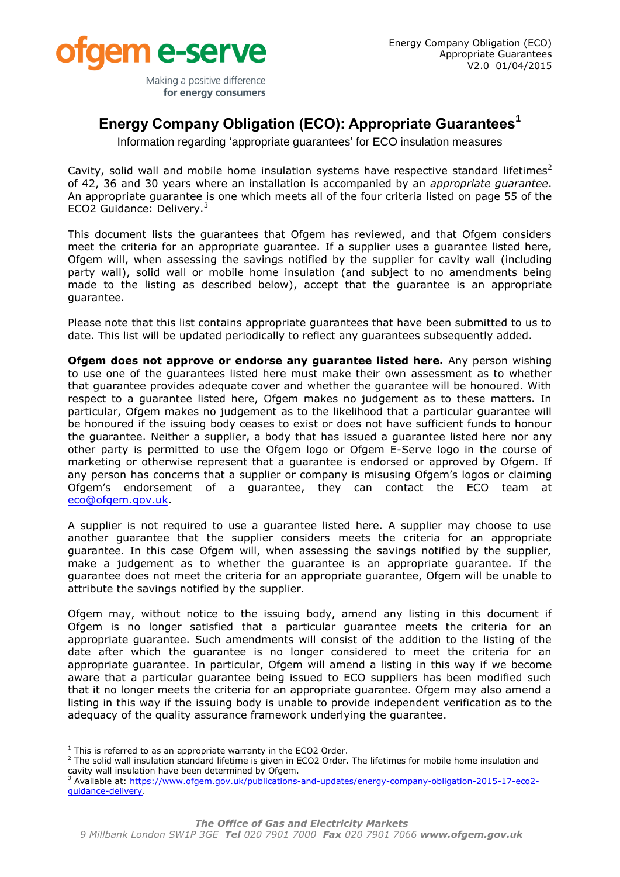

Making a positive difference for energy consumers

## **Energy Company Obligation (ECO): Appropriate Guarantees<sup>1</sup>**

Information regarding 'appropriate guarantees' for ECO insulation measures

Cavity, solid wall and mobile home insulation systems have respective standard lifetimes<sup>2</sup> of 42, 36 and 30 years where an installation is accompanied by an *appropriate guarantee*. An appropriate guarantee is one which meets all of the four criteria listed on page 55 of the ECO2 Guidance: Delivery.<sup>3</sup>

This document lists the guarantees that Ofgem has reviewed, and that Ofgem considers meet the criteria for an appropriate guarantee. If a supplier uses a guarantee listed here, Ofgem will, when assessing the savings notified by the supplier for cavity wall (including party wall), solid wall or mobile home insulation (and subject to no amendments being made to the listing as described below), accept that the guarantee is an appropriate guarantee.

Please note that this list contains appropriate guarantees that have been submitted to us to date. This list will be updated periodically to reflect any guarantees subsequently added.

**Ofgem does not approve or endorse any guarantee listed here.** Any person wishing to use one of the guarantees listed here must make their own assessment as to whether that guarantee provides adequate cover and whether the guarantee will be honoured. With respect to a guarantee listed here, Ofgem makes no judgement as to these matters. In particular, Ofgem makes no judgement as to the likelihood that a particular guarantee will be honoured if the issuing body ceases to exist or does not have sufficient funds to honour the guarantee. Neither a supplier, a body that has issued a guarantee listed here nor any other party is permitted to use the Ofgem logo or Ofgem E-Serve logo in the course of marketing or otherwise represent that a guarantee is endorsed or approved by Ofgem. If any person has concerns that a supplier or company is misusing Ofgem's logos or claiming Ofgem's endorsement of a guarantee, they can contact the ECO team at [eco@ofgem.gov.uk.](mailto:cert@ofgem.gov.uk)

A supplier is not required to use a guarantee listed here. A supplier may choose to use another guarantee that the supplier considers meets the criteria for an appropriate guarantee. In this case Ofgem will, when assessing the savings notified by the supplier, make a judgement as to whether the guarantee is an appropriate guarantee. If the guarantee does not meet the criteria for an appropriate guarantee, Ofgem will be unable to attribute the savings notified by the supplier.

Ofgem may, without notice to the issuing body, amend any listing in this document if Ofgem is no longer satisfied that a particular guarantee meets the criteria for an appropriate guarantee. Such amendments will consist of the addition to the listing of the date after which the guarantee is no longer considered to meet the criteria for an appropriate guarantee. In particular, Ofgem will amend a listing in this way if we become aware that a particular guarantee being issued to ECO suppliers has been modified such that it no longer meets the criteria for an appropriate guarantee. Ofgem may also amend a listing in this way if the issuing body is unable to provide independent verification as to the adequacy of the quality assurance framework underlying the guarantee.

ł  $1$  This is referred to as an appropriate warranty in the ECO2 Order.

 $<sup>2</sup>$  The solid wall insulation standard lifetime is given in ECO2 Order. The lifetimes for mobile home insulation and</sup> cavity wall insulation have been determined by Ofgem.

<sup>3</sup> Available at: [https://www.ofgem.gov.uk/publications-and-updates/energy-company-obligation-2015-17-eco2](https://www.ofgem.gov.uk/publications-and-updates/energy-company-obligation-2015-17-eco2-guidance-delivery) [guidance-delivery.](https://www.ofgem.gov.uk/publications-and-updates/energy-company-obligation-2015-17-eco2-guidance-delivery)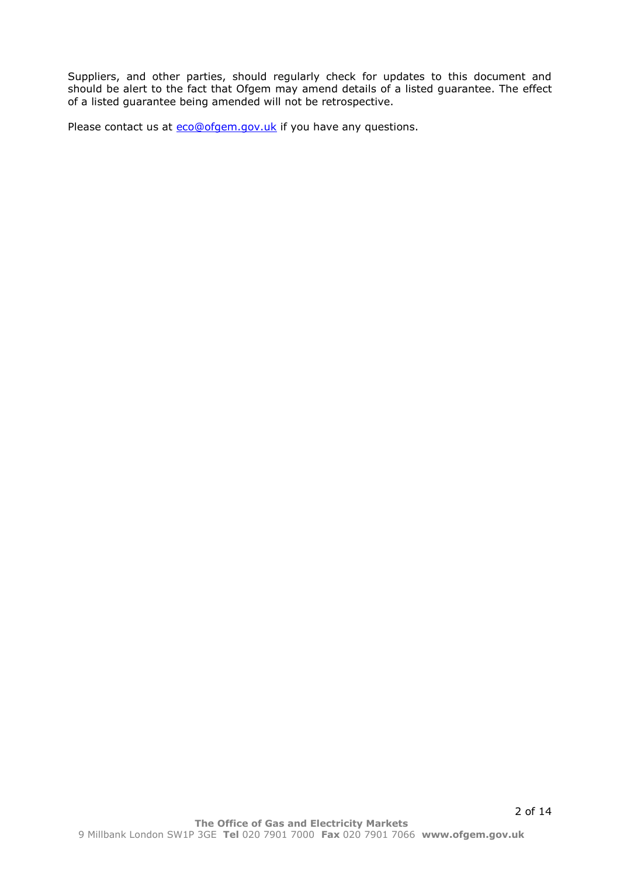Suppliers, and other parties, should regularly check for updates to this document and should be alert to the fact that Ofgem may amend details of a listed guarantee. The effect of a listed guarantee being amended will not be retrospective.

Please contact us at **eco@ofgem.gov.uk** if you have any questions.

2 of 14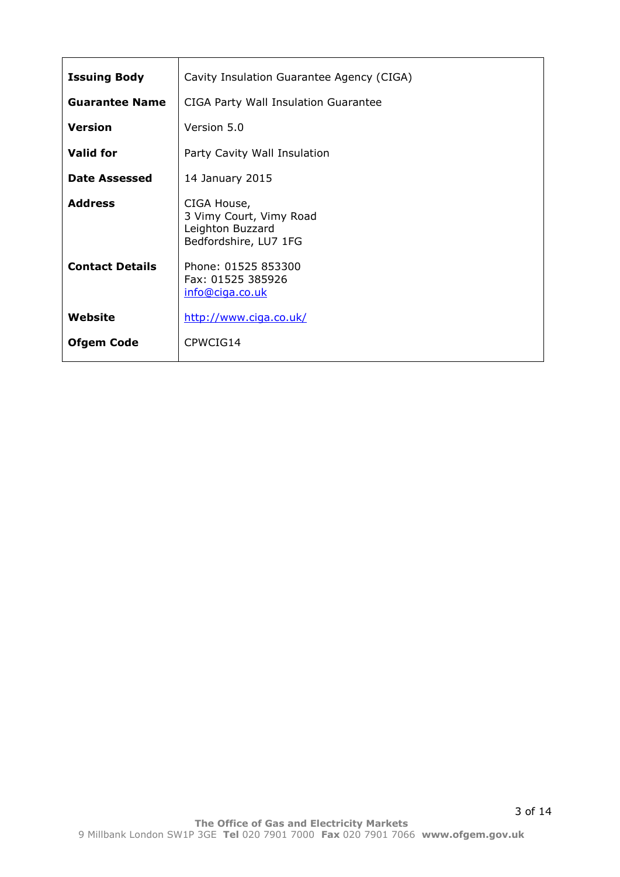| <b>Issuing Body</b>    | Cavity Insulation Guarantee Agency (CIGA)                                           |
|------------------------|-------------------------------------------------------------------------------------|
| <b>Guarantee Name</b>  | CIGA Party Wall Insulation Guarantee                                                |
| <b>Version</b>         | Version 5.0                                                                         |
| <b>Valid for</b>       | Party Cavity Wall Insulation                                                        |
| Date Assessed          | 14 January 2015                                                                     |
| <b>Address</b>         | CIGA House,<br>3 Vimy Court, Vimy Road<br>Leighton Buzzard<br>Bedfordshire, LU7 1FG |
| <b>Contact Details</b> | Phone: 01525 853300<br>Fax: 01525 385926<br>info@ciga.co.uk                         |
| Website                | http://www.ciga.co.uk/                                                              |
| <b>Ofgem Code</b>      | CPWCIG14                                                                            |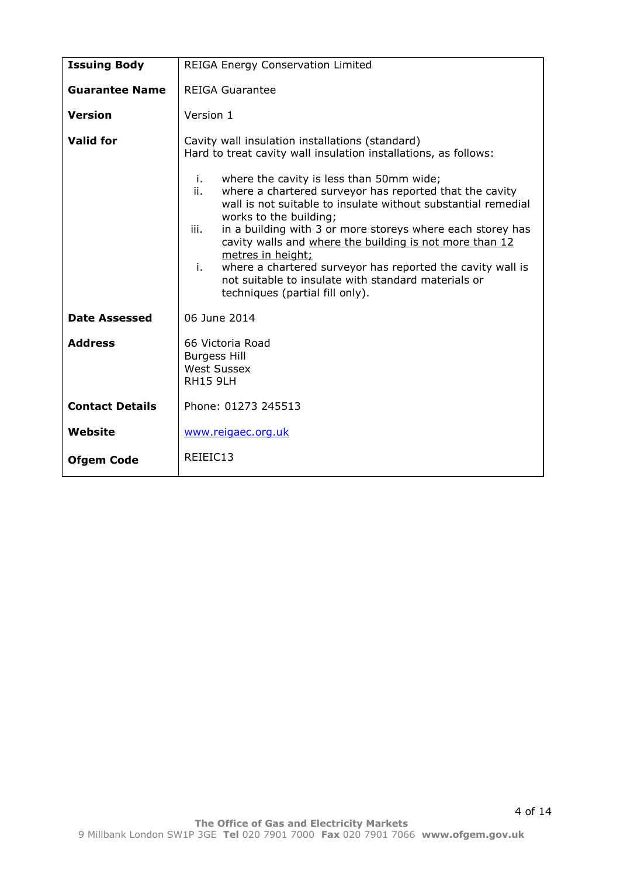| <b>Issuing Body</b>    | <b>REIGA Energy Conservation Limited</b>                                                                                                                                                                                                                                                                                                                                                                                                                                                                                                                                                                           |
|------------------------|--------------------------------------------------------------------------------------------------------------------------------------------------------------------------------------------------------------------------------------------------------------------------------------------------------------------------------------------------------------------------------------------------------------------------------------------------------------------------------------------------------------------------------------------------------------------------------------------------------------------|
| <b>Guarantee Name</b>  | <b>REIGA Guarantee</b>                                                                                                                                                                                                                                                                                                                                                                                                                                                                                                                                                                                             |
| <b>Version</b>         | Version 1                                                                                                                                                                                                                                                                                                                                                                                                                                                                                                                                                                                                          |
| <b>Valid for</b>       | Cavity wall insulation installations (standard)<br>Hard to treat cavity wall insulation installations, as follows:<br>i.<br>where the cavity is less than 50mm wide;<br>where a chartered surveyor has reported that the cavity<br>ii.<br>wall is not suitable to insulate without substantial remedial<br>works to the building;<br>iii.<br>in a building with 3 or more storeys where each storey has<br>cavity walls and where the building is not more than 12<br>metres in height;<br>i.<br>where a chartered surveyor has reported the cavity wall is<br>not suitable to insulate with standard materials or |
|                        | techniques (partial fill only).                                                                                                                                                                                                                                                                                                                                                                                                                                                                                                                                                                                    |
| <b>Date Assessed</b>   | 06 June 2014                                                                                                                                                                                                                                                                                                                                                                                                                                                                                                                                                                                                       |
| <b>Address</b>         | 66 Victoria Road<br><b>Burgess Hill</b><br><b>West Sussex</b><br><b>RH15 9LH</b>                                                                                                                                                                                                                                                                                                                                                                                                                                                                                                                                   |
| <b>Contact Details</b> | Phone: 01273 245513                                                                                                                                                                                                                                                                                                                                                                                                                                                                                                                                                                                                |
| Website                | www.reigaec.org.uk                                                                                                                                                                                                                                                                                                                                                                                                                                                                                                                                                                                                 |
| <b>Ofgem Code</b>      | REIEIC13                                                                                                                                                                                                                                                                                                                                                                                                                                                                                                                                                                                                           |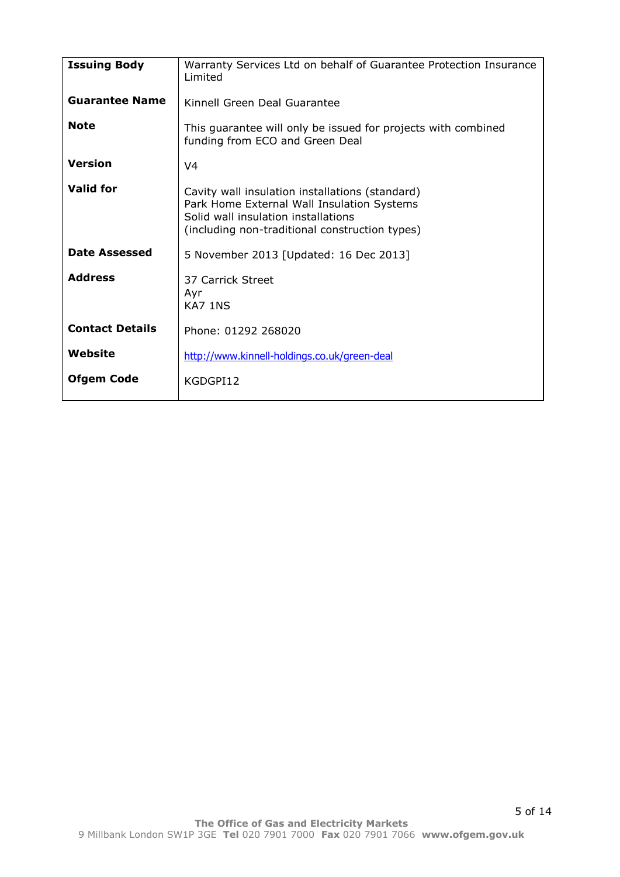| <b>Issuing Body</b>    | Warranty Services Ltd on behalf of Guarantee Protection Insurance<br>Limited                                                                                                           |
|------------------------|----------------------------------------------------------------------------------------------------------------------------------------------------------------------------------------|
| <b>Guarantee Name</b>  | Kinnell Green Deal Guarantee                                                                                                                                                           |
| <b>Note</b>            | This guarantee will only be issued for projects with combined<br>funding from ECO and Green Deal                                                                                       |
| <b>Version</b>         | V <sub>4</sub>                                                                                                                                                                         |
| <b>Valid for</b>       | Cavity wall insulation installations (standard)<br>Park Home External Wall Insulation Systems<br>Solid wall insulation installations<br>(including non-traditional construction types) |
| <b>Date Assessed</b>   | 5 November 2013 [Updated: 16 Dec 2013]                                                                                                                                                 |
| <b>Address</b>         | 37 Carrick Street<br>Ayr<br>KA7 1NS                                                                                                                                                    |
| <b>Contact Details</b> | Phone: 01292 268020                                                                                                                                                                    |
| Website                | http://www.kinnell-holdings.co.uk/green-deal                                                                                                                                           |
| <b>Ofgem Code</b>      | KGDGPI12                                                                                                                                                                               |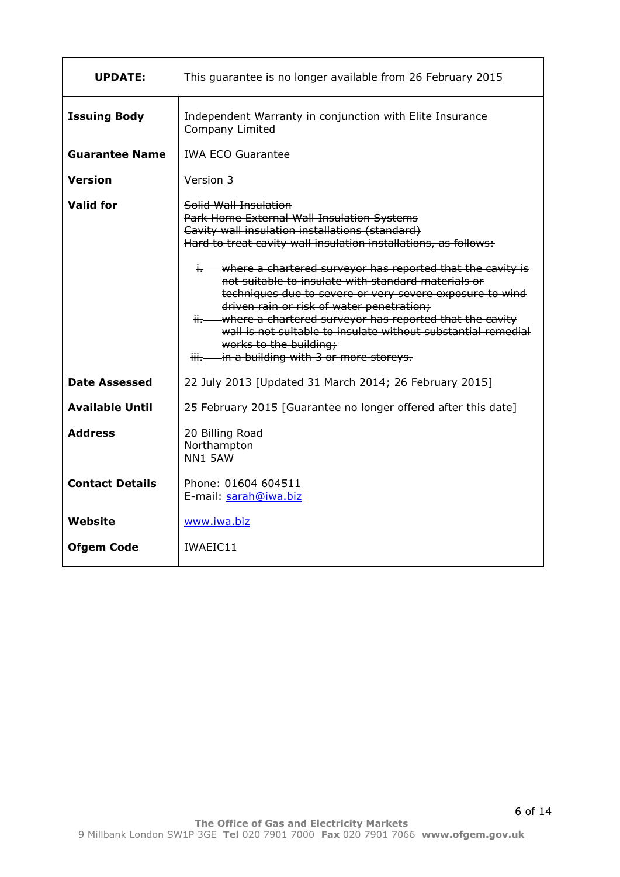| <b>UPDATE:</b>         | This guarantee is no longer available from 26 February 2015                                                                                                                                                                                                                                                                                                                                                                                                                                                                                                                                                                                      |
|------------------------|--------------------------------------------------------------------------------------------------------------------------------------------------------------------------------------------------------------------------------------------------------------------------------------------------------------------------------------------------------------------------------------------------------------------------------------------------------------------------------------------------------------------------------------------------------------------------------------------------------------------------------------------------|
| <b>Issuing Body</b>    | Independent Warranty in conjunction with Elite Insurance<br>Company Limited                                                                                                                                                                                                                                                                                                                                                                                                                                                                                                                                                                      |
| <b>Guarantee Name</b>  | <b>IWA ECO Guarantee</b>                                                                                                                                                                                                                                                                                                                                                                                                                                                                                                                                                                                                                         |
| <b>Version</b>         | Version 3                                                                                                                                                                                                                                                                                                                                                                                                                                                                                                                                                                                                                                        |
| <b>Valid for</b>       | Solid Wall Insulation<br>Park Home External Wall Insulation Systems<br>Cavity wall insulation installations (standard)<br>Hard to treat cavity wall insulation installations, as follows:<br>i. - where a chartered surveyor has reported that the cavity is<br>not suitable to insulate with standard materials or<br>techniques due to severe or very severe exposure to wind<br>driven rain or risk of water penetration;<br>where a chartered surveyor has reported that the cavity<br>wall is not suitable to insulate without substantial remedial<br>works to the building;<br>in a building with 3 or more storeys.<br><del>iii.</del> — |
| <b>Date Assessed</b>   | 22 July 2013 [Updated 31 March 2014; 26 February 2015]                                                                                                                                                                                                                                                                                                                                                                                                                                                                                                                                                                                           |
| <b>Available Until</b> | 25 February 2015 [Guarantee no longer offered after this date]                                                                                                                                                                                                                                                                                                                                                                                                                                                                                                                                                                                   |
| <b>Address</b>         | 20 Billing Road<br>Northampton<br><b>NN1 5AW</b>                                                                                                                                                                                                                                                                                                                                                                                                                                                                                                                                                                                                 |
| <b>Contact Details</b> | Phone: 01604 604511<br>E-mail: sarah@iwa.biz                                                                                                                                                                                                                                                                                                                                                                                                                                                                                                                                                                                                     |
| <b>Website</b>         | www.iwa.biz                                                                                                                                                                                                                                                                                                                                                                                                                                                                                                                                                                                                                                      |
| <b>Ofgem Code</b>      | IWAEIC11                                                                                                                                                                                                                                                                                                                                                                                                                                                                                                                                                                                                                                         |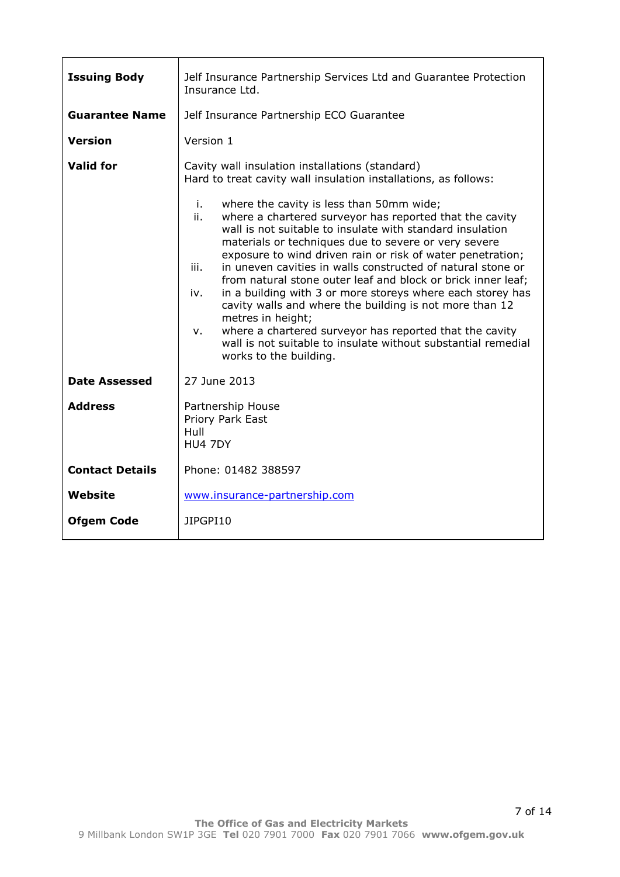| <b>Issuing Body</b>    | Jelf Insurance Partnership Services Ltd and Guarantee Protection<br>Insurance Ltd.                                                                                                                                                                                                                                                                                                                                                                                                                                                                                                                                                                                                                 |
|------------------------|----------------------------------------------------------------------------------------------------------------------------------------------------------------------------------------------------------------------------------------------------------------------------------------------------------------------------------------------------------------------------------------------------------------------------------------------------------------------------------------------------------------------------------------------------------------------------------------------------------------------------------------------------------------------------------------------------|
| <b>Guarantee Name</b>  | Jelf Insurance Partnership ECO Guarantee                                                                                                                                                                                                                                                                                                                                                                                                                                                                                                                                                                                                                                                           |
| <b>Version</b>         | Version 1                                                                                                                                                                                                                                                                                                                                                                                                                                                                                                                                                                                                                                                                                          |
| <b>Valid for</b>       | Cavity wall insulation installations (standard)<br>Hard to treat cavity wall insulation installations, as follows:<br>i.<br>where the cavity is less than 50mm wide;<br>ii.                                                                                                                                                                                                                                                                                                                                                                                                                                                                                                                        |
|                        | where a chartered surveyor has reported that the cavity<br>wall is not suitable to insulate with standard insulation<br>materials or techniques due to severe or very severe<br>exposure to wind driven rain or risk of water penetration;<br>in uneven cavities in walls constructed of natural stone or<br>iii.<br>from natural stone outer leaf and block or brick inner leaf;<br>in a building with 3 or more storeys where each storey has<br>iv.<br>cavity walls and where the building is not more than 12<br>metres in height;<br>where a chartered surveyor has reported that the cavity<br>v.<br>wall is not suitable to insulate without substantial remedial<br>works to the building. |
| <b>Date Assessed</b>   | 27 June 2013                                                                                                                                                                                                                                                                                                                                                                                                                                                                                                                                                                                                                                                                                       |
| <b>Address</b>         | Partnership House<br>Priory Park East<br>Hull<br>HU4 7DY                                                                                                                                                                                                                                                                                                                                                                                                                                                                                                                                                                                                                                           |
| <b>Contact Details</b> | Phone: 01482 388597                                                                                                                                                                                                                                                                                                                                                                                                                                                                                                                                                                                                                                                                                |
| <b>Website</b>         | www.insurance-partnership.com                                                                                                                                                                                                                                                                                                                                                                                                                                                                                                                                                                                                                                                                      |
| <b>Ofgem Code</b>      | JIPGPI10                                                                                                                                                                                                                                                                                                                                                                                                                                                                                                                                                                                                                                                                                           |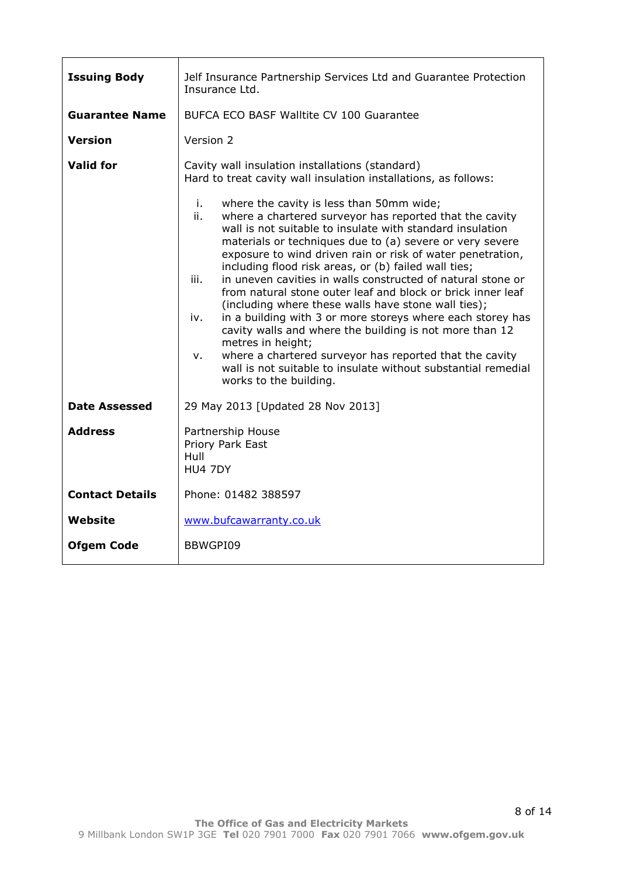| <b>Issuing Body</b>    | Jelf Insurance Partnership Services Ltd and Guarantee Protection<br>Insurance Ltd.                                                                                                                                                                                                                                                                                                                                                                                                                                                                                                                                                                                                                                                                                                                                                                                            |
|------------------------|-------------------------------------------------------------------------------------------------------------------------------------------------------------------------------------------------------------------------------------------------------------------------------------------------------------------------------------------------------------------------------------------------------------------------------------------------------------------------------------------------------------------------------------------------------------------------------------------------------------------------------------------------------------------------------------------------------------------------------------------------------------------------------------------------------------------------------------------------------------------------------|
| <b>Guarantee Name</b>  | <b>BUFCA ECO BASF Walltite CV 100 Guarantee</b>                                                                                                                                                                                                                                                                                                                                                                                                                                                                                                                                                                                                                                                                                                                                                                                                                               |
| Version                | Version 2                                                                                                                                                                                                                                                                                                                                                                                                                                                                                                                                                                                                                                                                                                                                                                                                                                                                     |
| Valid for              | Cavity wall insulation installations (standard)<br>Hard to treat cavity wall insulation installations, as follows:                                                                                                                                                                                                                                                                                                                                                                                                                                                                                                                                                                                                                                                                                                                                                            |
|                        | i.<br>where the cavity is less than 50mm wide;<br>ii.<br>where a chartered surveyor has reported that the cavity<br>wall is not suitable to insulate with standard insulation<br>materials or techniques due to (a) severe or very severe<br>exposure to wind driven rain or risk of water penetration,<br>including flood risk areas, or (b) failed wall ties;<br>in uneven cavities in walls constructed of natural stone or<br>iii.<br>from natural stone outer leaf and block or brick inner leaf<br>(including where these walls have stone wall ties);<br>in a building with 3 or more storeys where each storey has<br>iv.<br>cavity walls and where the building is not more than 12<br>metres in height;<br>where a chartered surveyor has reported that the cavity<br>v.<br>wall is not suitable to insulate without substantial remedial<br>works to the building. |
| <b>Date Assessed</b>   | 29 May 2013 [Updated 28 Nov 2013]                                                                                                                                                                                                                                                                                                                                                                                                                                                                                                                                                                                                                                                                                                                                                                                                                                             |
| <b>Address</b>         | Partnership House<br>Priory Park East<br>Hull<br>HU4 7DY                                                                                                                                                                                                                                                                                                                                                                                                                                                                                                                                                                                                                                                                                                                                                                                                                      |
| <b>Contact Details</b> | Phone: 01482 388597                                                                                                                                                                                                                                                                                                                                                                                                                                                                                                                                                                                                                                                                                                                                                                                                                                                           |
| <b>Website</b>         | www.bufcawarranty.co.uk                                                                                                                                                                                                                                                                                                                                                                                                                                                                                                                                                                                                                                                                                                                                                                                                                                                       |
| <b>Ofgem Code</b>      | BBWGPI09                                                                                                                                                                                                                                                                                                                                                                                                                                                                                                                                                                                                                                                                                                                                                                                                                                                                      |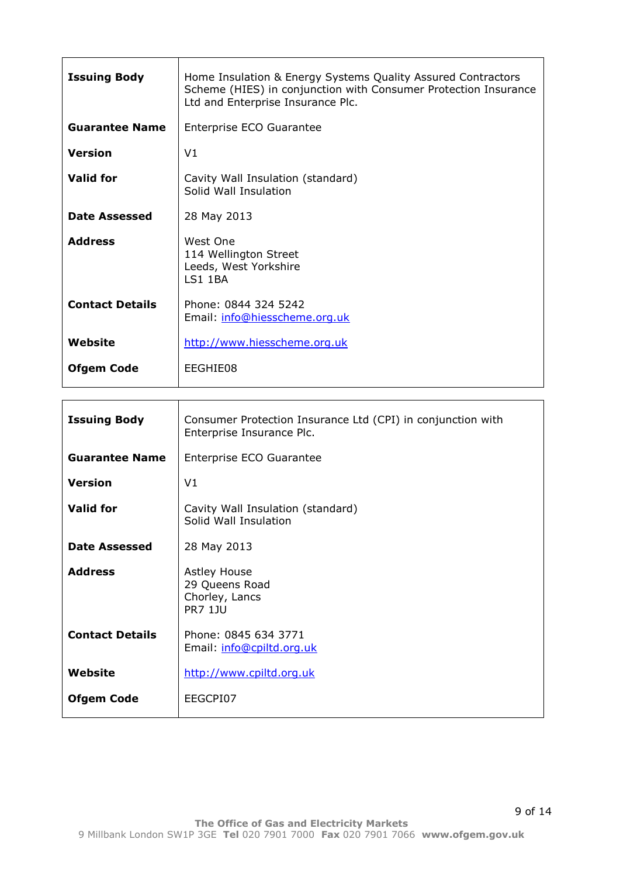| <b>Issuing Body</b>    | Home Insulation & Energy Systems Quality Assured Contractors<br>Scheme (HIES) in conjunction with Consumer Protection Insurance<br>Ltd and Enterprise Insurance Plc. |
|------------------------|----------------------------------------------------------------------------------------------------------------------------------------------------------------------|
| <b>Guarantee Name</b>  | Enterprise ECO Guarantee                                                                                                                                             |
| <b>Version</b>         | V <sub>1</sub>                                                                                                                                                       |
| <b>Valid for</b>       | Cavity Wall Insulation (standard)<br>Solid Wall Insulation                                                                                                           |
| Date Assessed          | 28 May 2013                                                                                                                                                          |
| <b>Address</b>         | West One<br>114 Wellington Street<br>Leeds, West Yorkshire<br><b>LS1 1BA</b>                                                                                         |
| <b>Contact Details</b> | Phone: 0844 324 5242<br>Email: info@hiesscheme.org.uk                                                                                                                |
| Website                | http://www.hiesscheme.org.uk                                                                                                                                         |
| <b>Ofgem Code</b>      | EEGHIE08                                                                                                                                                             |

| <b>Issuing Body</b>    | Consumer Protection Insurance Ltd (CPI) in conjunction with<br>Enterprise Insurance Plc. |
|------------------------|------------------------------------------------------------------------------------------|
| <b>Guarantee Name</b>  | Enterprise ECO Guarantee                                                                 |
| <b>Version</b>         | V <sub>1</sub>                                                                           |
| <b>Valid for</b>       | Cavity Wall Insulation (standard)<br>Solid Wall Insulation                               |
| <b>Date Assessed</b>   | 28 May 2013                                                                              |
| <b>Address</b>         | <b>Astley House</b><br>29 Queens Road<br>Chorley, Lancs<br><b>PR7 1JU</b>                |
| <b>Contact Details</b> | Phone: 0845 634 3771<br>Email: info@cpiltd.org.uk                                        |
| Website                | http://www.cpiltd.org.uk                                                                 |
| <b>Ofgem Code</b>      | EEGCPI07                                                                                 |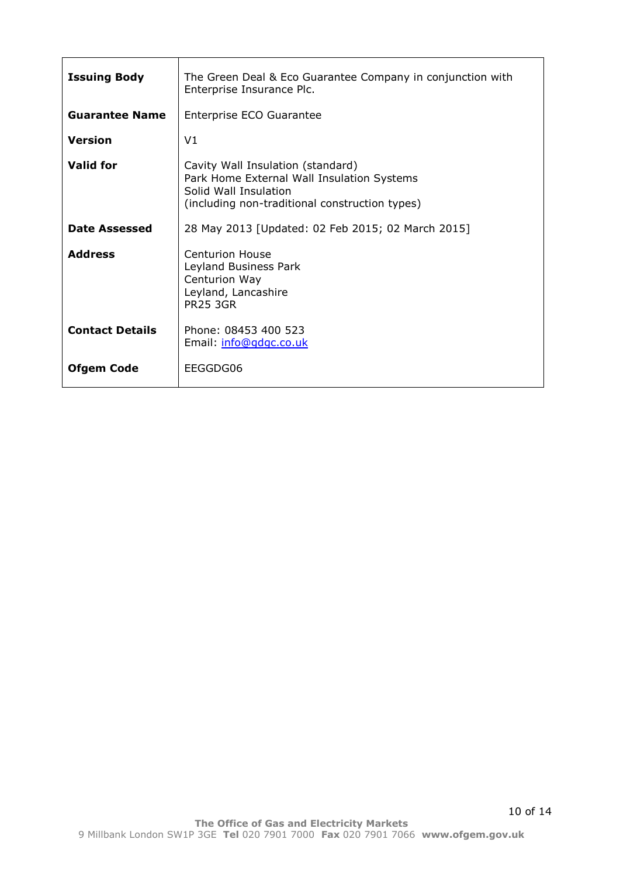| <b>Issuing Body</b>    | The Green Deal & Eco Guarantee Company in conjunction with<br>Enterprise Insurance Plc.                                                                    |
|------------------------|------------------------------------------------------------------------------------------------------------------------------------------------------------|
| <b>Guarantee Name</b>  | Enterprise ECO Guarantee                                                                                                                                   |
| <b>Version</b>         | V1                                                                                                                                                         |
| <b>Valid for</b>       | Cavity Wall Insulation (standard)<br>Park Home External Wall Insulation Systems<br>Solid Wall Insulation<br>(including non-traditional construction types) |
| <b>Date Assessed</b>   | 28 May 2013 [Updated: 02 Feb 2015; 02 March 2015]                                                                                                          |
| <b>Address</b>         | <b>Centurion House</b><br>Leyland Business Park<br>Centurion Way<br>Leyland, Lancashire<br><b>PR25 3GR</b>                                                 |
| <b>Contact Details</b> | Phone: 08453 400 523<br>Email: info@gdgc.co.uk                                                                                                             |
| <b>Ofgem Code</b>      | EEGGDG06                                                                                                                                                   |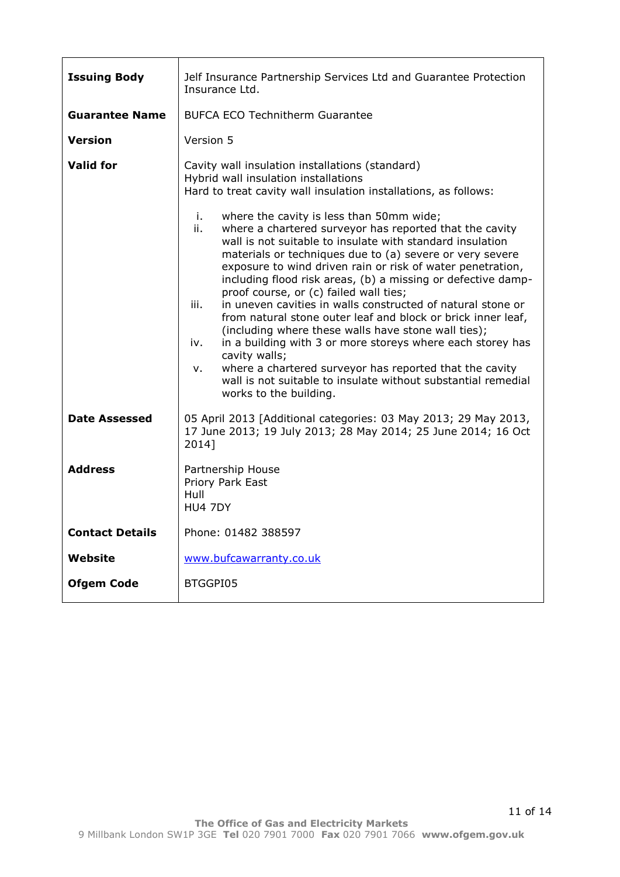| <b>Issuing Body</b>    | Jelf Insurance Partnership Services Ltd and Guarantee Protection<br>Insurance Ltd.                                                                                                                                                                                                                                                                                                                                                                                                                                                                                                                                                                                                                                                                                                                                                                                |
|------------------------|-------------------------------------------------------------------------------------------------------------------------------------------------------------------------------------------------------------------------------------------------------------------------------------------------------------------------------------------------------------------------------------------------------------------------------------------------------------------------------------------------------------------------------------------------------------------------------------------------------------------------------------------------------------------------------------------------------------------------------------------------------------------------------------------------------------------------------------------------------------------|
| <b>Guarantee Name</b>  | <b>BUFCA ECO Technitherm Guarantee</b>                                                                                                                                                                                                                                                                                                                                                                                                                                                                                                                                                                                                                                                                                                                                                                                                                            |
| <b>Version</b>         | Version 5                                                                                                                                                                                                                                                                                                                                                                                                                                                                                                                                                                                                                                                                                                                                                                                                                                                         |
| <b>Valid for</b>       | Cavity wall insulation installations (standard)<br>Hybrid wall insulation installations<br>Hard to treat cavity wall insulation installations, as follows:                                                                                                                                                                                                                                                                                                                                                                                                                                                                                                                                                                                                                                                                                                        |
|                        | i.<br>where the cavity is less than 50mm wide;<br>where a chartered surveyor has reported that the cavity<br>ii.<br>wall is not suitable to insulate with standard insulation<br>materials or techniques due to (a) severe or very severe<br>exposure to wind driven rain or risk of water penetration,<br>including flood risk areas, (b) a missing or defective damp-<br>proof course, or (c) failed wall ties;<br>iii.<br>in uneven cavities in walls constructed of natural stone or<br>from natural stone outer leaf and block or brick inner leaf,<br>(including where these walls have stone wall ties);<br>in a building with 3 or more storeys where each storey has<br>iv.<br>cavity walls;<br>where a chartered surveyor has reported that the cavity<br>v.<br>wall is not suitable to insulate without substantial remedial<br>works to the building. |
| <b>Date Assessed</b>   | 05 April 2013 [Additional categories: 03 May 2013; 29 May 2013,<br>17 June 2013; 19 July 2013; 28 May 2014; 25 June 2014; 16 Oct<br>2014]                                                                                                                                                                                                                                                                                                                                                                                                                                                                                                                                                                                                                                                                                                                         |
| <b>Address</b>         | Partnership House<br>Priory Park East<br>Hull<br><b>HU4 7DY</b>                                                                                                                                                                                                                                                                                                                                                                                                                                                                                                                                                                                                                                                                                                                                                                                                   |
| <b>Contact Details</b> | Phone: 01482 388597                                                                                                                                                                                                                                                                                                                                                                                                                                                                                                                                                                                                                                                                                                                                                                                                                                               |
| Website                | www.bufcawarranty.co.uk                                                                                                                                                                                                                                                                                                                                                                                                                                                                                                                                                                                                                                                                                                                                                                                                                                           |
| <b>Ofgem Code</b>      | BTGGPI05                                                                                                                                                                                                                                                                                                                                                                                                                                                                                                                                                                                                                                                                                                                                                                                                                                                          |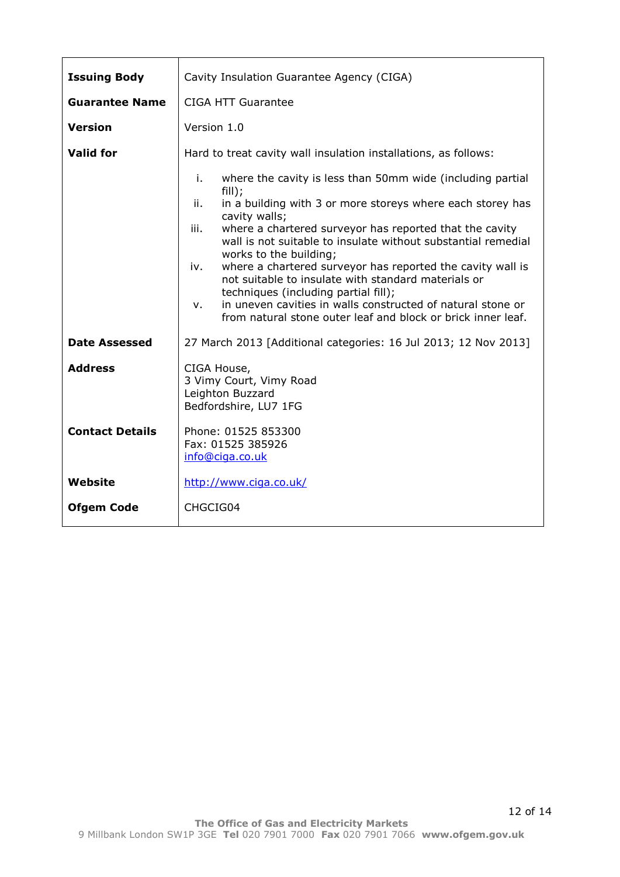| <b>Issuing Body</b>    | Cavity Insulation Guarantee Agency (CIGA)                                                                                                                                                                                                                                                                                                                                                                                                                                                                                                                                                                                               |
|------------------------|-----------------------------------------------------------------------------------------------------------------------------------------------------------------------------------------------------------------------------------------------------------------------------------------------------------------------------------------------------------------------------------------------------------------------------------------------------------------------------------------------------------------------------------------------------------------------------------------------------------------------------------------|
| <b>Guarantee Name</b>  | <b>CIGA HTT Guarantee</b>                                                                                                                                                                                                                                                                                                                                                                                                                                                                                                                                                                                                               |
| <b>Version</b>         | Version 1.0                                                                                                                                                                                                                                                                                                                                                                                                                                                                                                                                                                                                                             |
| <b>Valid for</b>       | Hard to treat cavity wall insulation installations, as follows:                                                                                                                                                                                                                                                                                                                                                                                                                                                                                                                                                                         |
|                        | i.<br>where the cavity is less than 50mm wide (including partial<br>fill);<br>in a building with 3 or more storeys where each storey has<br>ii.<br>cavity walls;<br>where a chartered surveyor has reported that the cavity<br>iii.<br>wall is not suitable to insulate without substantial remedial<br>works to the building;<br>where a chartered surveyor has reported the cavity wall is<br>iv.<br>not suitable to insulate with standard materials or<br>techniques (including partial fill);<br>in uneven cavities in walls constructed of natural stone or<br>v.<br>from natural stone outer leaf and block or brick inner leaf. |
| Date Assessed          | 27 March 2013 [Additional categories: 16 Jul 2013; 12 Nov 2013]                                                                                                                                                                                                                                                                                                                                                                                                                                                                                                                                                                         |
| <b>Address</b>         | CIGA House,<br>3 Vimy Court, Vimy Road<br>Leighton Buzzard<br>Bedfordshire, LU7 1FG                                                                                                                                                                                                                                                                                                                                                                                                                                                                                                                                                     |
| <b>Contact Details</b> | Phone: 01525 853300<br>Fax: 01525 385926<br>info@ciga.co.uk                                                                                                                                                                                                                                                                                                                                                                                                                                                                                                                                                                             |
| <b>Website</b>         | http://www.ciga.co.uk/                                                                                                                                                                                                                                                                                                                                                                                                                                                                                                                                                                                                                  |
| <b>Ofgem Code</b>      | CHGCIG04                                                                                                                                                                                                                                                                                                                                                                                                                                                                                                                                                                                                                                |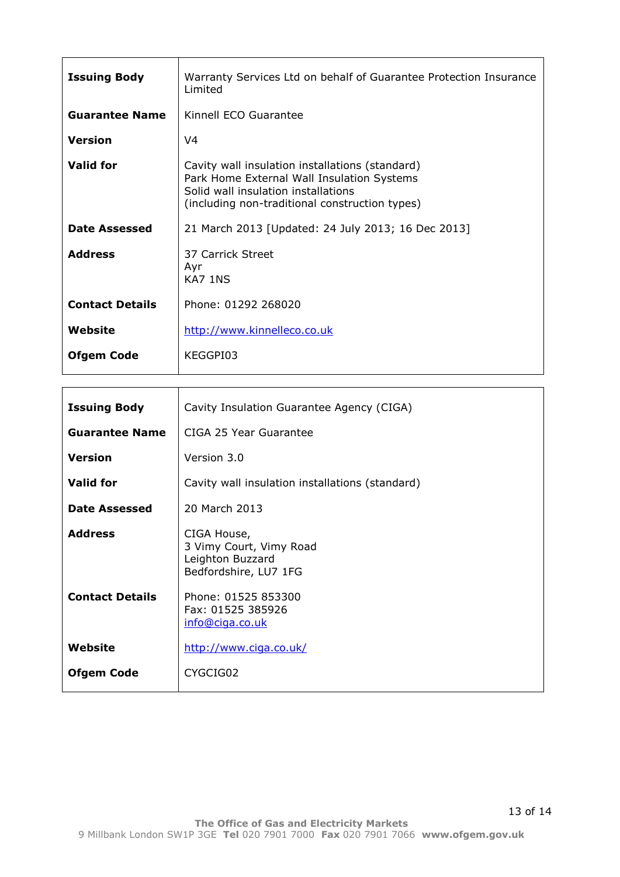| <b>Issuing Body</b>    | Warranty Services Ltd on behalf of Guarantee Protection Insurance<br>Limited                                                                                                           |
|------------------------|----------------------------------------------------------------------------------------------------------------------------------------------------------------------------------------|
| <b>Guarantee Name</b>  | Kinnell ECO Guarantee                                                                                                                                                                  |
| Version                | V4                                                                                                                                                                                     |
| <b>Valid for</b>       | Cavity wall insulation installations (standard)<br>Park Home External Wall Insulation Systems<br>Solid wall insulation installations<br>(including non-traditional construction types) |
| <b>Date Assessed</b>   | 21 March 2013 [Updated: 24 July 2013; 16 Dec 2013]                                                                                                                                     |
| <b>Address</b>         | 37 Carrick Street<br>Ayr<br>KA7 1NS                                                                                                                                                    |
| <b>Contact Details</b> | Phone: 01292 268020                                                                                                                                                                    |
| Website                | http://www.kinnelleco.co.uk                                                                                                                                                            |
| <b>Ofgem Code</b>      | KEGGPI03                                                                                                                                                                               |

| <b>Issuing Body</b>    | Cavity Insulation Guarantee Agency (CIGA)                                           |
|------------------------|-------------------------------------------------------------------------------------|
| <b>Guarantee Name</b>  | CIGA 25 Year Guarantee                                                              |
| <b>Version</b>         | Version 3.0                                                                         |
| <b>Valid for</b>       | Cavity wall insulation installations (standard)                                     |
| Date Assessed          | 20 March 2013                                                                       |
| <b>Address</b>         | CIGA House,<br>3 Vimy Court, Vimy Road<br>Leighton Buzzard<br>Bedfordshire, LU7 1FG |
| <b>Contact Details</b> | Phone: 01525 853300<br>Fax: 01525 385926<br>info@ciga.co.uk                         |
| Website                | http://www.ciga.co.uk/                                                              |
| <b>Ofgem Code</b>      | CYGCIG02                                                                            |